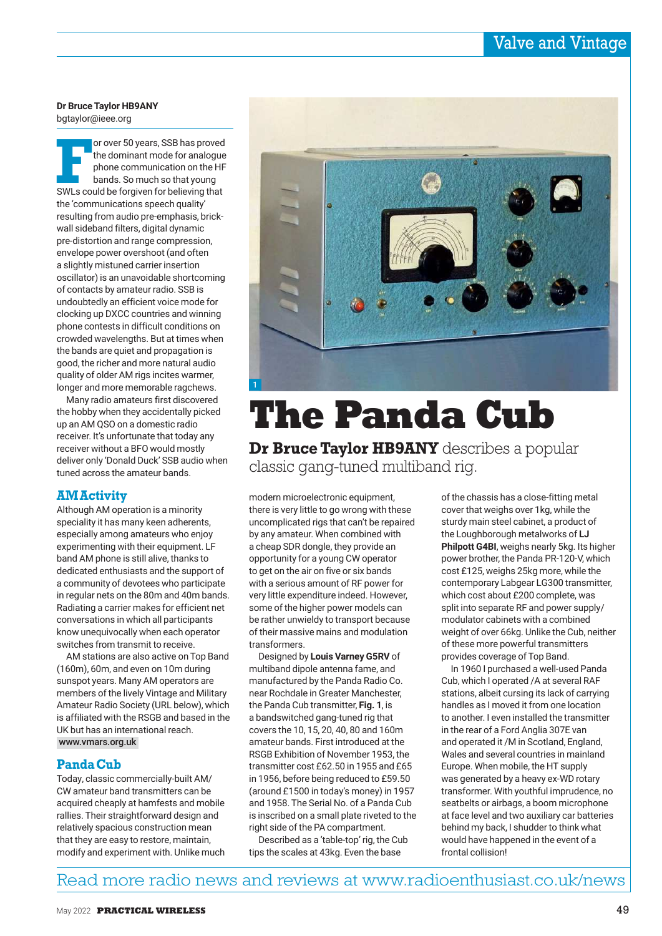**Dr Bruce Taylor HB9ANY** bgtaylor@ieee.org

Franch Corover 50 years, SSB has proved<br>the dominant mode for analogue<br>phone communication on the HF<br>bands. So much so that young<br>SWLs could be forgiven for believing that or over 50 years, SSB has proved the dominant mode for analogue phone communication on the HF bands. So much so that young the 'communications speech quality' resulting from audio pre-emphasis, brickwall sideband filters, digital dynamic pre-distortion and range compression, envelope power overshoot (and often a slightly mistuned carrier insertion oscillator) is an unavoidable shortcoming of contacts by amateur radio. SSB is undoubtedly an efficient voice mode for clocking up DXCC countries and winning phone contests in difficult conditions on crowded wavelengths. But at times when the bands are quiet and propagation is good, the richer and more natural audio quality of older AM rigs incites warmer, longer and more memorable ragchews.

Many radio amateurs first discovered the hobby when they accidentally picked up an AM QSO on a domestic radio receiver. It's unfortunate that today any receiver without a BFO would mostly deliver only 'Donald Duck' SSB audio when tuned across the amateur bands.

## **AM Activity**

Although AM operation is a minority speciality it has many keen adherents, especially among amateurs who enjoy experimenting with their equipment. LF band AM phone is still alive, thanks to dedicated enthusiasts and the support of a community of devotees who participate in regular nets on the 80m and 40m bands. Radiating a carrier makes for efficient net conversations in which all participants know unequivocally when each operator switches from transmit to receive.

AM stations are also active on Top Band (160m), 60m, and even on 10m during sunspot years. Many AM operators are members of the lively Vintage and Military Amateur Radio Society (URL below), which is affiliated with the RSGB and based in the UK but has an international reach. www.vmars.org.uk

## **Panda Cub**

Today, classic commercially-built AM/ CW amateur band transmitters can be acquired cheaply at hamfests and mobile rallies. Their straightforward design and relatively spacious construction mean that they are easy to restore, maintain, modify and experiment with. Unlike much



# **The Panda Cub**

**Dr Bruce Taylor HB9ANY** describes a popular classic gang-tuned multiband rig.

modern microelectronic equipment, there is very little to go wrong with these uncomplicated rigs that can't be repaired by any amateur. When combined with a cheap SDR dongle, they provide an opportunity for a young CW operator to get on the air on five or six bands with a serious amount of RF power for very little expenditure indeed. However, some of the higher power models can be rather unwieldy to transport because of their massive mains and modulation transformers.

Designed by **Louis Varney G5RV** of multiband dipole antenna fame, and manufactured by the Panda Radio Co. near Rochdale in Greater Manchester, the Panda Cub transmitter, **Fig. 1**, is a bandswitched gang-tuned rig that covers the 10, 15, 20, 40, 80 and 160m amateur bands. First introduced at the RSGB Exhibition of November 1953, the transmitter cost £62.50 in 1955 and £65 in 1956, before being reduced to £59.50 (around £1500 in today's money) in 1957 and 1958. The Serial No. of a Panda Cub is inscribed on a small plate riveted to the right side of the PA compartment.

Described as a 'table-top' rig, the Cub tips the scales at 43kg. Even the base

of the chassis has a close-fitting metal cover that weighs over 1kg, while the sturdy main steel cabinet, a product of the Loughborough metalworks of **LJ Philpott G4BI**, weighs nearly 5kg. Its higher power brother, the Panda PR-120-V, which cost £125, weighs 25kg more, while the contemporary Labgear LG300 transmitter, which cost about £200 complete, was split into separate RF and power supply/ modulator cabinets with a combined weight of over 66kg. Unlike the Cub, neither of these more powerful transmitters provides coverage of Top Band.

In 1960 I purchased a well-used Panda Cub, which I operated /A at several RAF stations, albeit cursing its lack of carrying handles as I moved it from one location to another. I even installed the transmitter in the rear of a Ford Anglia 307E van and operated it /M in Scotland, England, Wales and several countries in mainland Europe. When mobile, the HT supply was generated by a heavy ex-WD rotary transformer. With youthful imprudence, no seatbelts or airbags, a boom microphone at face level and two auxiliary car batteries behind my back, I shudder to think what would have happened in the event of a frontal collision!

## Read more radio news and reviews at www.radioenthusiast.co.uk/news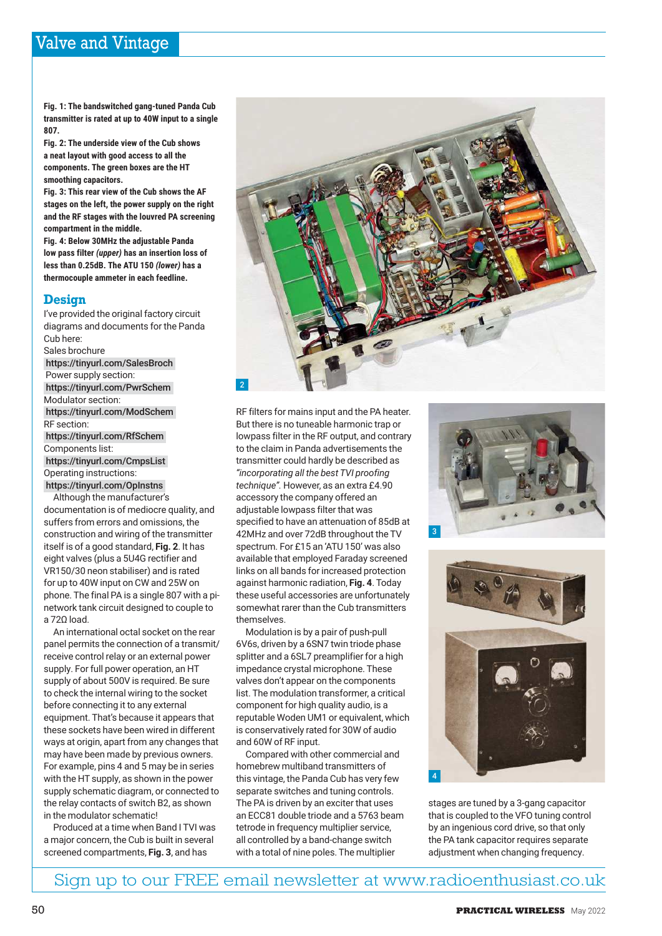**Fig. 1: The bandswitched gang-tuned Panda Cub transmitter is rated at up to 40W input to a single 807.**

**Fig. 2: The underside view of the Cub shows a neat layout with good access to all the components. The green boxes are the HT smoothing capacitors.**

**Fig. 3: This rear view of the Cub shows the AF stages on the left, the power supply on the right and the RF stages with the louvred PA screening compartment in the middle.**

**Fig. 4: Below 30MHz the adjustable Panda low pass filter** *(upper)* **has an insertion loss of less than 0.25dB. The ATU 150** *(lower)* **has a thermocouple ammeter in each feedline.**

## **Design**

I've provided the original factory circuit diagrams and documents for the Panda Cub here: Sales brochure https://tinyurl.com/SalesBroch Power supply section: https://tinyurl.com/PwrSchem Modulator section: https://tinyurl.com/ModSchem RF section: https://tinyurl.com/RfSchem Components list: https://tinyurl.com/CmpsList Operating instructions: https://tinyurl.com/OpInstns

Although the manufacturer's documentation is of mediocre quality, and suffers from errors and omissions, the construction and wiring of the transmitter itself is of a good standard, **Fig. 2**. It has eight valves (plus a 5U4G rectifier and VR150/30 neon stabiliser) and is rated for up to 40W input on CW and 25W on phone. The final PA is a single 807 with a pinetwork tank circuit designed to couple to a 72Ω load.

An international octal socket on the rear panel permits the connection of a transmit/ receive control relay or an external power supply. For full power operation, an HT supply of about 500V is required. Be sure to check the internal wiring to the socket before connecting it to any external equipment. That's because it appears that these sockets have been wired in different ways at origin, apart from any changes that may have been made by previous owners. For example, pins 4 and 5 may be in series with the HT supply, as shown in the power supply schematic diagram, or connected to the relay contacts of switch B2, as shown in the modulator schematic!

Produced at a time when Band I TVI was a major concern, the Cub is built in several screened compartments, **Fig. 3**, and has



RF filters for mains input and the PA heater. But there is no tuneable harmonic trap or lowpass filter in the RF output, and contrary to the claim in Panda advertisements the transmitter could hardly be described as *"incorporating all the best TVI proofing technique".* However, as an extra £4.90 accessory the company offered an adjustable lowpass filter that was specified to have an attenuation of 85dB at 42MHz and over 72dB throughout the TV spectrum. For £15 an 'ATU 150' was also available that employed Faraday screened links on all bands for increased protection against harmonic radiation, **Fig. 4**. Today these useful accessories are unfortunately somewhat rarer than the Cub transmitters themselves.

Modulation is by a pair of push-pull 6V6s, driven by a 6SN7 twin triode phase splitter and a 6SL7 preamplifier for a high impedance crystal microphone. These valves don't appear on the components list. The modulation transformer, a critical component for high quality audio, is a reputable Woden UM1 or equivalent, which is conservatively rated for 30W of audio and 60W of RF input.

Compared with other commercial and homebrew multiband transmitters of this vintage, the Panda Cub has very few separate switches and tuning controls. The PA is driven by an exciter that uses an ECC81 double triode and a 5763 beam tetrode in frequency multiplier service, all controlled by a band-change switch with a total of nine poles. The multiplier





stages are tuned by a 3-gang capacitor that is coupled to the VFO tuning control by an ingenious cord drive, so that only the PA tank capacitor requires separate adjustment when changing frequency.

Sign up to our FREE email newsletter at www.radioenthusiast.co.uk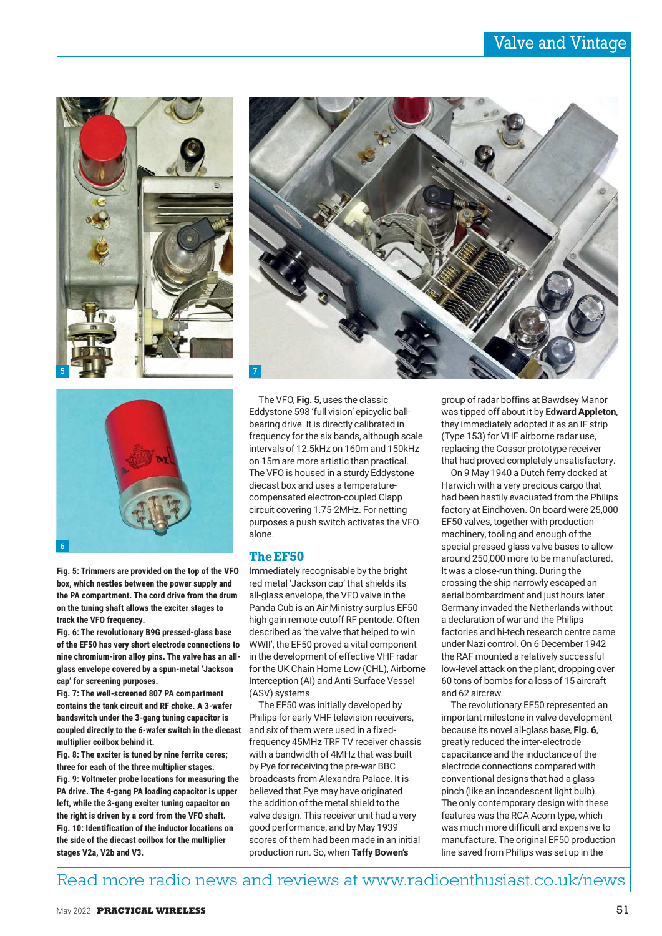



**Fig. 5: Trimmers are provided on the top of the VFO box, which nestles between the power supply and the PA compartment. The cord drive from the drum on the tuning shaft allows the exciter stages to track the VFO frequency.**

**Fig. 6: The revolutionary B9G pressed-glass base of the EF50 has very short electrode connections to nine chromium-iron alloy pins. The valve has an allglass envelope covered by a spun-metal 'Jackson cap' for screening purposes.**

**Fig. 7: The well-screened 807 PA compartment contains the tank circuit and RF choke. A 3-wafer bandswitch under the 3-gang tuning capacitor is coupled directly to the 6-wafer switch in the diecast multiplier coilbox behind it.**

**Fig. 8: The exciter is tuned by nine ferrite cores; three for each of the three multiplier stages. Fig. 9: Voltmeter probe locations for measuring the PA drive. The 4-gang PA loading capacitor is upper left, while the 3-gang exciter tuning capacitor on the right is driven by a cord from the VFO shaft. Fig. 10: Identification of the inductor locations on the side of the diecast coilbox for the multiplier stages V2a, V2b and V3.**



The VFO, **Fig. 5**, uses the classic Eddystone 598 'full vision' epicyclic ballbearing drive. It is directly calibrated in frequency for the six bands, although scale intervals of 12.5kHz on 160m and 150kHz on 15m are more artistic than practical. The VFO is housed in a sturdy Eddystone diecast box and uses a temperaturecompensated electron-coupled Clapp circuit covering 1.75-2MHz. For netting purposes a push switch activates the VFO alone.

#### **The EF50**

Immediately recognisable by the bright red metal 'Jackson cap' that shields its all-glass envelope, the VFO valve in the Panda Cub is an Air Ministry surplus EF50 high gain remote cutoff RF pentode. Often described as 'the valve that helped to win WWII', the EF50 proved a vital component in the development of effective VHF radar for the UK Chain Home Low (CHL), Airborne Interception (AI) and Anti-Surface Vessel (ASV) systems.

The EF50 was initially developed by Philips for early VHF television receivers, and six of them were used in a fixedfrequency 45MHz TRF TV receiver chassis with a bandwidth of 4MHz that was built by Pye for receiving the pre-war BBC broadcasts from Alexandra Palace. It is believed that Pye may have originated the addition of the metal shield to the valve design. This receiver unit had a very good performance, and by May 1939 scores of them had been made in an initial production run. So, when **Taffy Bowen's**

group of radar boffins at Bawdsey Manor was tipped off about it by **Edward Appleton**, they immediately adopted it as an IF strip (Type 153) for VHF airborne radar use, replacing the Cossor prototype receiver that had proved completely unsatisfactory.

On 9 May 1940 a Dutch ferry docked at Harwich with a very precious cargo that had been hastily evacuated from the Philips factory at Eindhoven. On board were 25,000 EF50 valves, together with production machinery, tooling and enough of the special pressed glass valve bases to allow around 250,000 more to be manufactured. It was a close-run thing. During the crossing the ship narrowly escaped an aerial bombardment and just hours later Germany invaded the Netherlands without a declaration of war and the Philips factories and hi-tech research centre came under Nazi control. On 6 December 1942 the RAF mounted a relatively successful low-level attack on the plant, dropping over 60 tons of bombs for a loss of 15 aircraft and 62 aircrew.

The revolutionary EF50 represented an important milestone in valve development because its novel all-glass base, **Fig. 6**, greatly reduced the inter-electrode capacitance and the inductance of the electrode connections compared with conventional designs that had a glass pinch (like an incandescent light bulb). The only contemporary design with these features was the RCA Acorn type, which was much more difficult and expensive to manufacture. The original EF50 production line saved from Philips was set up in the

## Read more radio news and reviews at www.radioenthusiast.co.uk/news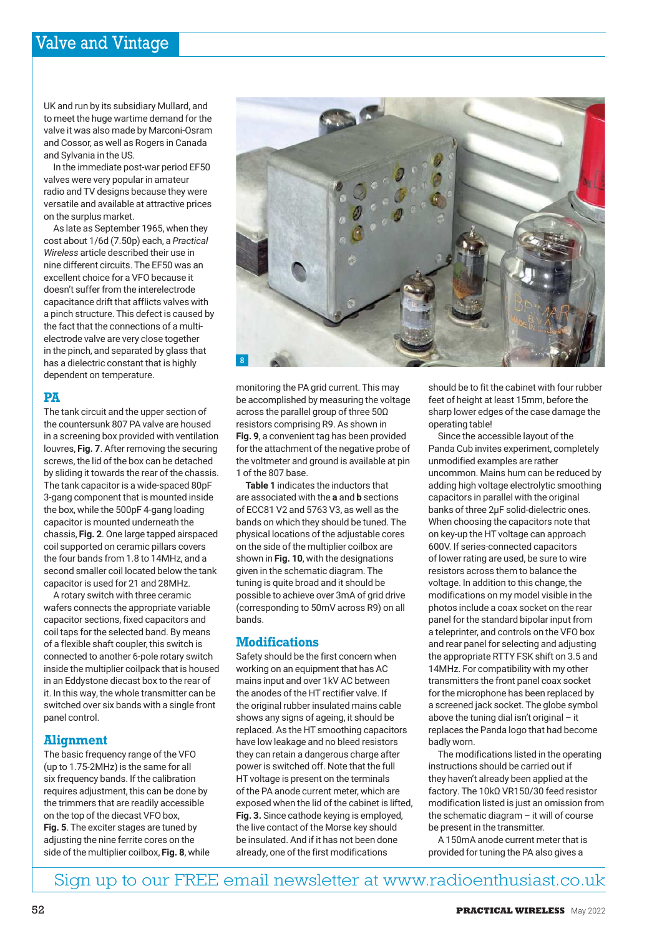UK and run by its subsidiary Mullard, and to meet the huge wartime demand for the valve it was also made by Marconi-Osram and Cossor, as well as Rogers in Canada and Sylvania in the US.

In the immediate post-war period EF50 valves were very popular in amateur radio and TV designs because they were versatile and available at attractive prices on the surplus market.

As late as September 1965, when they cost about 1/6d (7.50p) each, a *Practical Wireless* article described their use in nine different circuits. The EF50 was an excellent choice for a VFO because it doesn't suffer from the interelectrode capacitance drift that afflicts valves with a pinch structure. This defect is caused by the fact that the connections of a multielectrode valve are very close together in the pinch, and separated by glass that has a dielectric constant that is highly dependent on temperature.

## **PA**

The tank circuit and the upper section of the countersunk 807 PA valve are housed in a screening box provided with ventilation louvres, **Fig. 7**. After removing the securing screws, the lid of the box can be detached by sliding it towards the rear of the chassis. The tank capacitor is a wide-spaced 80pF 3-gang component that is mounted inside the box, while the 500pF 4-gang loading capacitor is mounted underneath the chassis, **Fig. 2**. One large tapped airspaced coil supported on ceramic pillars covers the four bands from 1.8 to 14MHz, and a second smaller coil located below the tank capacitor is used for 21 and 28MHz.

A rotary switch with three ceramic wafers connects the appropriate variable capacitor sections, fixed capacitors and coil taps for the selected band. By means of a flexible shaft coupler, this switch is connected to another 6-pole rotary switch inside the multiplier coilpack that is housed in an Eddystone diecast box to the rear of it. In this way, the whole transmitter can be switched over six bands with a single front panel control.

## **Alignment**

The basic frequency range of the VFO (up to 1.75-2MHz) is the same for all six frequency bands. If the calibration requires adjustment, this can be done by the trimmers that are readily accessible on the top of the diecast VFO box, **Fig. 5**. The exciter stages are tuned by adjusting the nine ferrite cores on the side of the multiplier coilbox, **Fig. 8**, while



monitoring the PA grid current. This may be accomplished by measuring the voltage across the parallel group of three 50Ω resistors comprising R9. As shown in **Fig. 9**, a convenient tag has been provided for the attachment of the negative probe of the voltmeter and ground is available at pin 1 of the 807 base.

**Table 1** indicates the inductors that are associated with the **a** and **b** sections of ECC81 V2 and 5763 V3, as well as the bands on which they should be tuned. The physical locations of the adjustable cores on the side of the multiplier coilbox are shown in **Fig. 10**, with the designations given in the schematic diagram. The tuning is quite broad and it should be possible to achieve over 3mA of grid drive (corresponding to 50mV across R9) on all bands.

#### **Modifications**

Safety should be the first concern when working on an equipment that has AC mains input and over 1kV AC between the anodes of the HT rectifier valve. If the original rubber insulated mains cable shows any signs of ageing, it should be replaced. As the HT smoothing capacitors have low leakage and no bleed resistors they can retain a dangerous charge after power is switched off. Note that the full HT voltage is present on the terminals of the PA anode current meter, which are exposed when the lid of the cabinet is lifted, **Fig. 3.** Since cathode keying is employed, the live contact of the Morse key should be insulated. And if it has not been done already, one of the first modifications

should be to fit the cabinet with four rubber feet of height at least 15mm, before the sharp lower edges of the case damage the operating table!

Since the accessible layout of the Panda Cub invites experiment, completely unmodified examples are rather uncommon. Mains hum can be reduced by adding high voltage electrolytic smoothing capacitors in parallel with the original banks of three 2µF solid-dielectric ones. When choosing the capacitors note that on key-up the HT voltage can approach 600V. If series-connected capacitors of lower rating are used, be sure to wire resistors across them to balance the voltage. In addition to this change, the modifications on my model visible in the photos include a coax socket on the rear panel for the standard bipolar input from a teleprinter, and controls on the VFO box and rear panel for selecting and adjusting the appropriate RTTY FSK shift on 3.5 and 14MHz. For compatibility with my other transmitters the front panel coax socket for the microphone has been replaced by a screened jack socket. The globe symbol above the tuning dial isn't original – it replaces the Panda logo that had become badly worn.

The modifications listed in the operating instructions should be carried out if they haven't already been applied at the factory. The 10kΩ VR150/30 feed resistor modification listed is just an omission from the schematic diagram – it will of course be present in the transmitter.

A 150mA anode current meter that is provided for tuning the PA also gives a

Sign up to our FREE email newsletter at www.radioenthusiast.co.uk